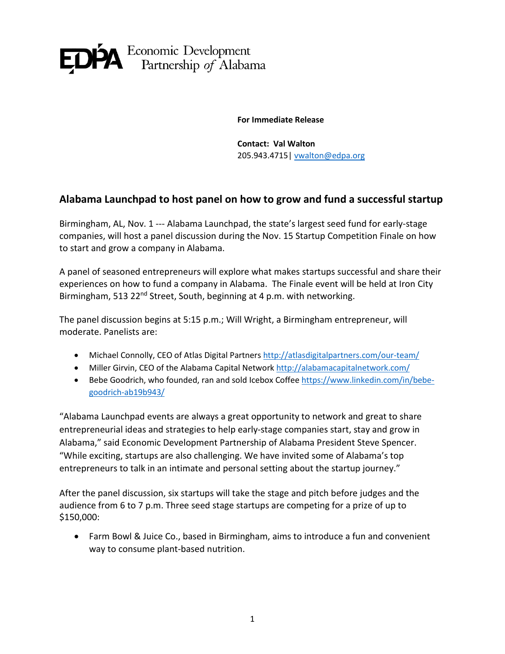

**For Immediate Release**

**Contact: Val Walton** 205.943.4715| [vwalton@edpa.org](mailto:vwalton@edpa.org)

## **Alabama Launchpad to host panel on how to grow and fund a successful startup**

Birmingham, AL, Nov. 1 --- Alabama Launchpad, the state's largest seed fund for early-stage companies, will host a panel discussion during the Nov. 15 Startup Competition Finale on how to start and grow a company in Alabama.

A panel of seasoned entrepreneurs will explore what makes startups successful and share their experiences on how to fund a company in Alabama. The Finale event will be held at Iron City Birmingham, 513 22<sup>nd</sup> Street, South, beginning at 4 p.m. with networking.

The panel discussion begins at 5:15 p.m.; Will Wright, a Birmingham entrepreneur, will moderate. Panelists are:

- Michael Connolly, CEO of Atlas Digital Partners <http://atlasdigitalpartners.com/our-team/>
- Miller Girvin, CEO of the Alabama Capital Network <http://alabamacapitalnetwork.com/>
- Bebe Goodrich, who founded, ran and sold Icebox Coffee [https://www.linkedin.com/in/bebe](https://www.linkedin.com/in/bebe-goodrich-ab19b943/)[goodrich-ab19b943/](https://www.linkedin.com/in/bebe-goodrich-ab19b943/)

"Alabama Launchpad events are always a great opportunity to network and great to share entrepreneurial ideas and strategies to help early-stage companies start, stay and grow in Alabama," said Economic Development Partnership of Alabama President Steve Spencer. "While exciting, startups are also challenging. We have invited some of Alabama's top entrepreneurs to talk in an intimate and personal setting about the startup journey."

After the panel discussion, six startups will take the stage and pitch before judges and the audience from 6 to 7 p.m. Three seed stage startups are competing for a prize of up to \$150,000:

• Farm Bowl & Juice Co., based in Birmingham, aims to introduce a fun and convenient way to consume plant-based nutrition.